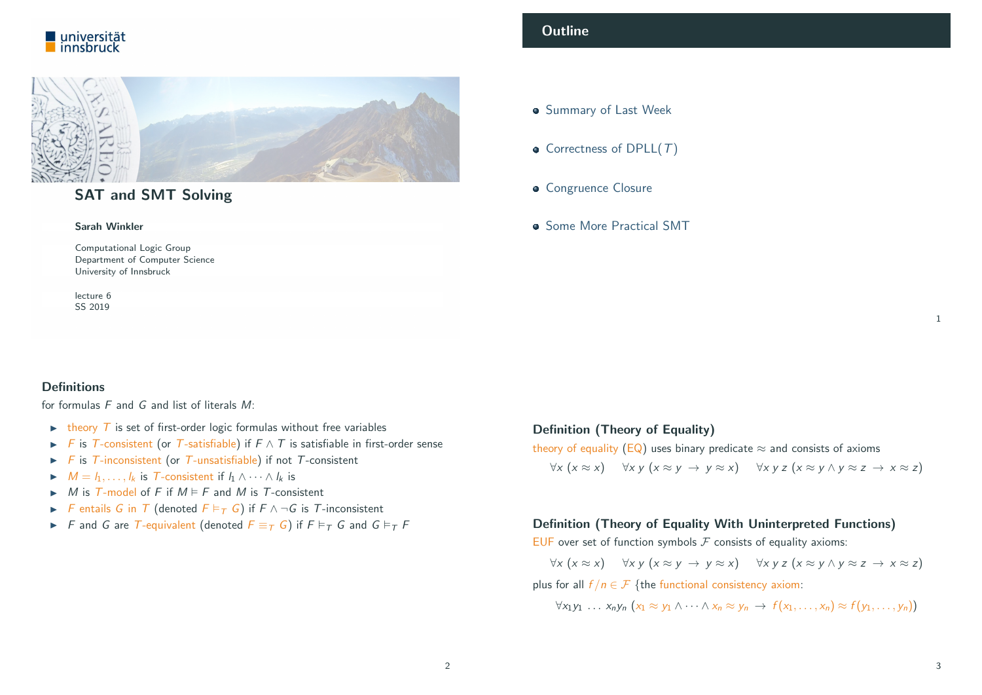



# SAT and SMT Solving

#### Sarah Winkler

Computational Logic Group Department of Computer Science University of Innsbruck

lecture 6 SS 2019

## **Outline**

- **Summary of Last Week**
- Correctness of DPLL $(T)$
- **Congruence Closure**
- **Some More Practical SMT**

## <span id="page-0-0"></span>**Definitions**

for formulas F and G and list of literals M:

- $\triangleright$  theory T is set of first-order logic formulas without free variables
- **F** is T-consistent (or T-satisfiable) if  $F \wedge T$  is satisfiable in first-order sense
- $\triangleright$  F is T-inconsistent (or T-unsatisfiable) if not T-consistent
- $M = l_1, \ldots, l_k$  is T-consistent if  $l_1 \wedge \cdots \wedge l_k$  is
- $\triangleright$  M is T-model of F if  $M \models F$  and M is T-consistent
- F [entails](#page-1-0) G in T (denoted  $F \vDash_T G$ ) if  $F \wedge \neg G$  is T-inconsistent
- F and G are T-equivalent (denoted  $F \equiv_T G$ ) if  $F \vDash_T G$  and  $G \vDash_T F$

## Definition (Theory of Equality)

theory of equality (EQ) uses binary predicate  $\approx$  and consists of axioms  $\forall x (x \approx x)$   $\forall x y (x \approx y \rightarrow y \approx x)$   $\forall x y z (x \approx y \land y \approx z \rightarrow x \approx z)$ 

## Definition (Theory of Equality With Uninterpreted Functions)

EUF over set of function symbols  $F$  consists of equality axioms:

 $\forall x (x \approx x)$   $\forall x y (x \approx y \rightarrow y \approx x)$   $\forall x y z (x \approx y \land y \approx z \rightarrow x \approx z)$ plus for all  $f/n \in \mathcal{F}$  {the functional consistency axiom:

 $\forall x_1y_1 \dots x_ny_n (x_1 \approx y_1 \land \dots \land x_n \approx y_n \rightarrow f(x_1, \dots, x_n) \approx f(y_1, \dots, y_n))$ 

1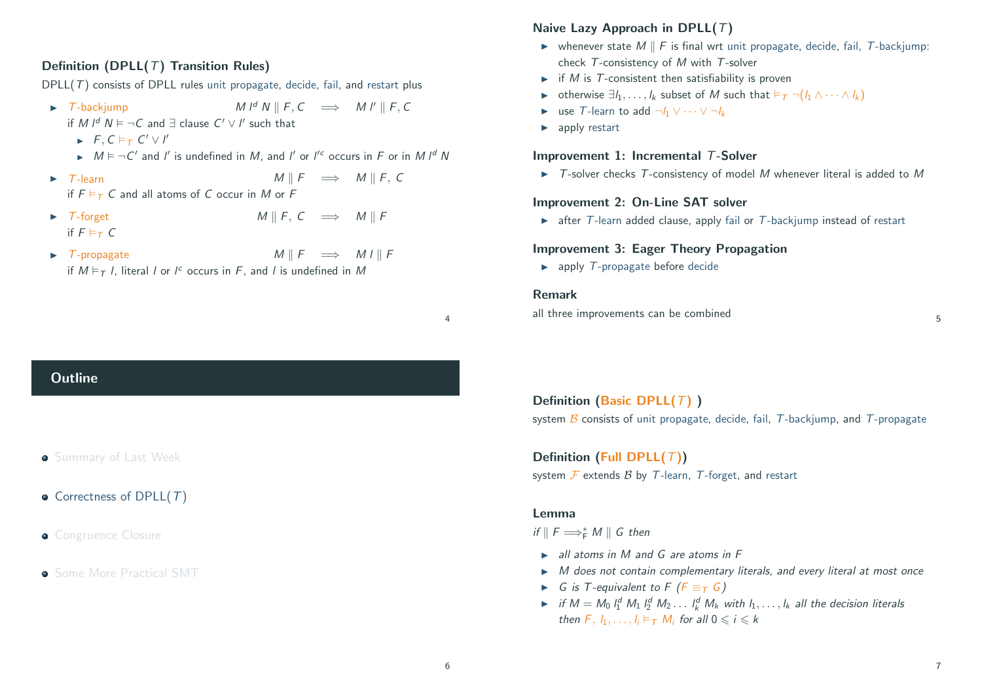## Definition (DPLL( $T$ ) Transition Rules)

DPLL( $T$ ) consists of DPLL rules unit propagate, decide, fail, and restart plus

- $\triangleright$  T-backjump M l<sup>d</sup> N || F, C  $\implies$  M l' || F, C if M  $I^d$   $N \vDash \neg C$  and  $\exists$  clause  $C' \vee I'$  such that
	- $\blacktriangleright$  F, C  $\models$  T C'  $\lor$  I'
	- $\triangleright$   $M \models \neg C'$  and l' is undefined in M, and l' or l'<sup>c</sup> occurs in F or in M l<sup>d</sup> N
- $\triangleright$  T-learn M ||  $F \implies M \parallel F$ , C if  $F \models_T C$  and all atoms of C occur in M or F
- $\triangleright$  T-forget M || F, C  $\implies$  M || F if  $F \models_{\tau} C$
- $\triangleright$  T-propagate  $M \parallel F \implies M I \parallel F$ if  $M \vDash_{\mathcal{T}} I$ , literal I or I<sup>c</sup> occurs in F, and I is undefined in M

## Naive Lazy Approach in DPLL $(T)$

- $\triangleright$  whenever state M || F is final wrt unit propagate, decide, fail, T-backjump: check T-consistency of M with T-solver
- $\triangleright$  if M is T-consistent then satisfiability is proven
- $\triangleright$  otherwise  $\exists l_1, \ldots, l_k$  subset of M such that  $\models_{\mathcal{T}} \neg(l_1 \land \cdots \land l_k)$
- **In use T-learn to add**  $\neg h \lor \cdots \lor \neg h$
- $\blacktriangleright$  apply restart

## Improvement 1: Incremental T-Solver

 $\triangleright$  T-solver checks T-consistency of model M whenever literal is added to M

## Improvement 2: On-Line SAT solver

 $\triangleright$  after T-learn added clause, apply fail or T-backjump instead of restart

## Improvement 3: Eager Theory Propagation

 $\blacktriangleright$  apply T-propagate before decide

## Remark

all three improvements can be combined 5

Definition (Basic DPLL $(T)$ ) system  $\beta$  consists of unit propagate, decide, fail, T-backjump, and T-propagate

Definition (Full DPLL $(T)$ ) system  $\mathcal F$  extends  $\mathcal B$  by  $\mathcal T$ -learn,  $\mathcal T$ -forget, and restart

#### Lemma

if  $\parallel$  F  $\Longrightarrow^*_{\mathsf{F}} M \parallel$  G then

- $\triangleright$  all atoms in M and G are atoms in F
- $\triangleright$  M does not contain complementary literals, and every literal at most once
- $\triangleright$  G is T-equivalent to F ( $F \equiv_T G$ )
- if  $M = M_0 \, l_1^d \, M_1 \, l_2^d \, M_2 \ldots \, l_k^d \, M_k$  with  $l_1, \ldots, l_k$  all the decision literals then  $F, l_1, \ldots, l_i \vDash_{\mathcal{T}} M_i$  for all  $0 \leq i \leq k$

# <span id="page-1-0"></span>**Outline**

- **Summary of Last Week**
- Correctness of DPLL $(T)$
- **Congruence Closure**
- **Some More Practical SMT**

4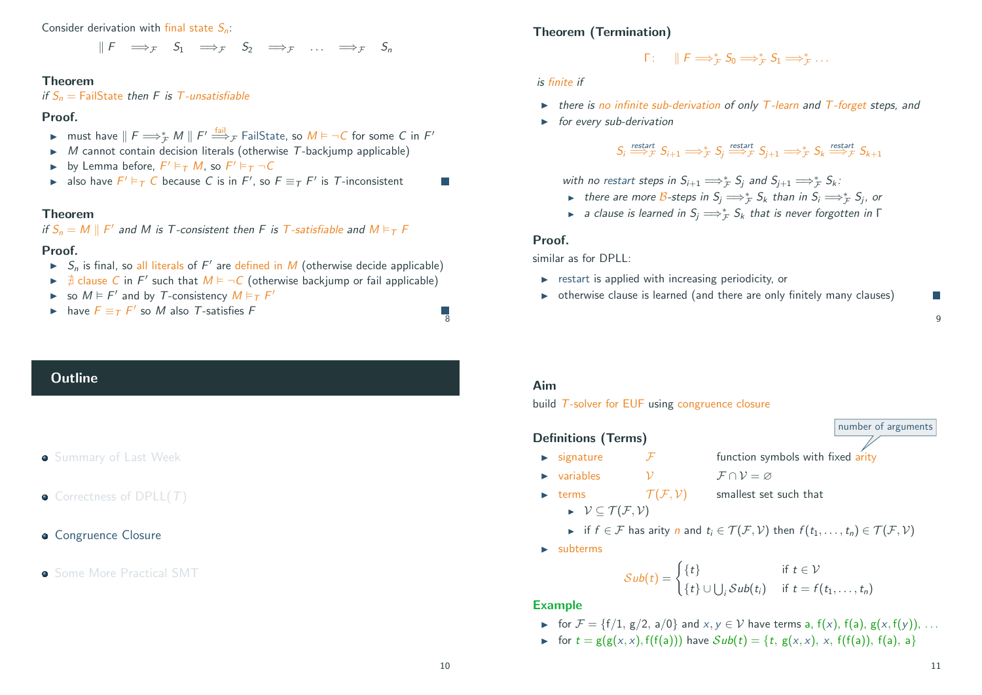Consider derivation with final state  $S_n$ .

 $\mathbb{E} F \implies_{\tau} S_1 \implies_{\tau} S_2 \implies_{\tau} \dots \implies_{\tau} S_n$ 

#### Theorem

if  $S_n$  = FailState then F is T-unsatisfiable

#### Proof.

- ► must have  $\parallel F \Longrightarrow_{\mathcal{F}}^* M \parallel F' \stackrel{\text{fail}}{\Longrightarrow}_{\mathcal{F}}$  FailState, so  $M \models \neg C$  for some C in  $F'$
- $M$  cannot contain decision literals (otherwise  $T$ -backjump applicable)
- by Lemma before,  $F' \vDash_{\mathcal{T}} M$ , so  $F' \vDash_{\mathcal{T}} \neg C$
- **►** also have  $F' \models_T C$  because C is in  $F'$ , so  $F \equiv_T F'$  is T-inconsistent

#### Theorem

if  $S_n = M \parallel F'$  and M is T-consistent then F is T-satisfiable and  $M \vDash_T F$ 

#### Proof.

- $\blacktriangleright$   $S_n$  is final, so all literals of F' are defined in M (otherwise decide applicable)
- $\blacktriangleright$   $\exists$  clause C in F' such that  $M \models \neg C$  (otherwise backjump or fail applicable)
- So  $M \models F'$  and by T-consistency  $M \models_T F'$
- ► have  $F \equiv_T F'$  so M also T-satisfies F

## **Outline**

## **Summary of Last Week**

- $\bullet$  Correctness of DPLL $(T)$
- **Congruence Closure**

## **• Some More Practical SMT**

## Theorem (Termination)

$$
\Gamma: \quad \parallel F \Longrightarrow_{\mathcal{F}}^* S_0 \Longrightarrow_{\mathcal{F}}^* S_1 \Longrightarrow_{\mathcal{F}}^* \ldots
$$

#### is finite if

- $\triangleright$  there is no infinite sub-derivation of only T-learn and T-forget steps, and
- $\longrightarrow$  for every sub-derivation

# $S_i \stackrel{\text{restart}}{\Longrightarrow}_{\mathcal{F}} S_{i+1} \Longrightarrow^*_{\mathcal{F}} S_j \stackrel{\text{restart}}{\Longrightarrow}_{\mathcal{F}} S_{j+1} \Longrightarrow^*_{\mathcal{F}} S_k \stackrel{\text{restart}}{\Longrightarrow}_{\mathcal{F}} S_{k+1}$

with no restart steps in  $S_{i+1} \Longrightarrow_{\mathcal{F}}^* S_j$  and  $S_{j+1} \Longrightarrow_{\mathcal{F}}^* S_k$ :

- ► there are more B-steps in  $S_j \Longrightarrow_{\mathcal{F}}^* S_k$  than in  $S_i \Longrightarrow_{\mathcal{F}}^* S_j$ , or
- ► a clause is learned in  $S_j \Longrightarrow_{\mathcal{F}}^* S_k$  that is never forgotten in  $\Gamma$

#### Proof.

similar as for DPLL:

- $\triangleright$  restart is applied with increasing periodicity, or
- $\rightarrow$  otherwise clause is learned (and there are only finitely many clauses) F

#### Aim

build T-solver for EUF using congruence closure

## Definitions (Terms)

- $\triangleright$  signature  $\triangleright$   $\vdash$  function symbols with fixed arity
- $\triangleright$  variables  $\triangleright$   $\triangleright$   $\mathcal{V} = \emptyset$ 
	-
- Example 1 terms  $\mathcal{T}(\mathcal{F}, \mathcal{V})$  smallest set such that
	- $\triangleright \forall \subseteq \mathcal{T}(\mathcal{F}, \mathcal{V})$
	- if  $f \in \mathcal{F}$  has arity n and  $t_i \in \mathcal{T}(\mathcal{F}, \mathcal{V})$  then  $f(t_1, \ldots, t_n) \in \mathcal{T}(\mathcal{F}, \mathcal{V})$
- $\blacktriangleright$  subterms

$$
Sub(t) = \begin{cases} \{t\} & \text{if } t \in \mathcal{V} \\ \{t\} \cup \bigcup_i Sub(t_i) & \text{if } t = f(t_1, \ldots, t_n) \end{cases}
$$

#### **Example**

- $\triangleright$  for  $\mathcal{F} = \{f/1, g/2, a/0\}$  and  $x, y \in \mathcal{V}$  have terms a,  $f(x)$ ,  $f(a)$ ,  $g(x, f(y))$ , ...
- For  $t = g(g(x, x), f(f(a)))$  have  $Sub(t) = \{t, g(x, x), x, f(f(a)), f(a), a\}$

 $\overline{8}$ 

T.

9

number of arguments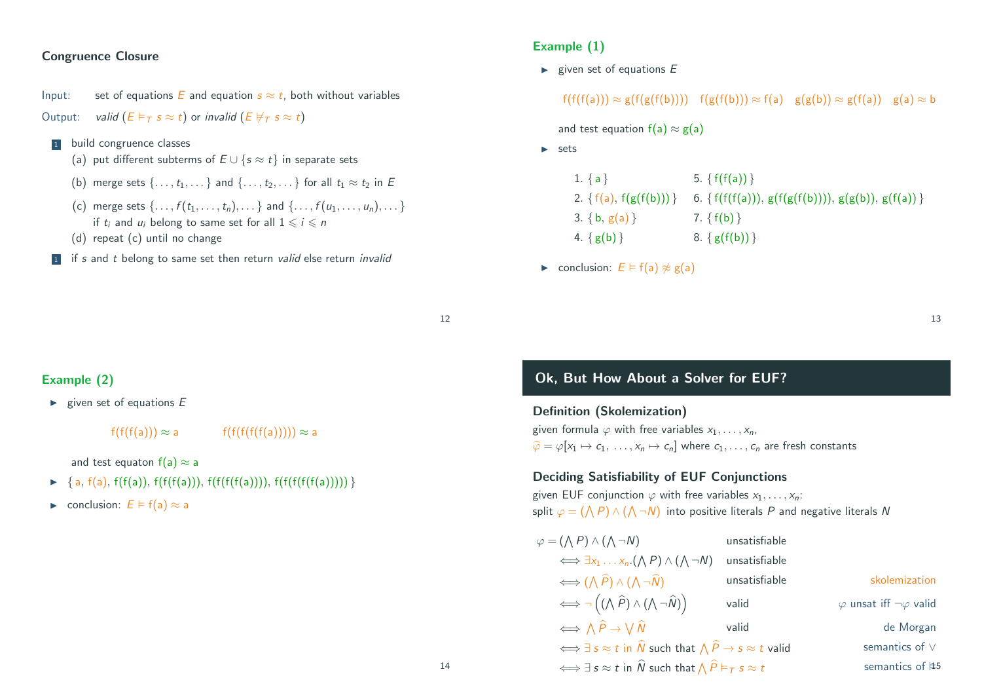## Congruence Closure

Input: set of equations E and equation  $s \approx t$ , both without variables Output: valid  $(E \models_T s \approx t)$  or invalid  $(E \not\models_T s \approx t)$ 

- 1 build congruence classes
	- (a) put different subterms of  $E \cup \{s \approx t\}$  in separate sets
	- (b) merge sets  $\{ \ldots, t_1, \ldots \}$  and  $\{ \ldots, t_2, \ldots \}$  for all  $t_1 \approx t_2$  in E
	- (c) merge sets  $\{ \ldots, f(t_1, \ldots, t_n), \ldots \}$  and  $\{ \ldots, f(u_1, \ldots, u_n), \ldots \}$ if t<sub>i</sub> and  $u_i$  belong to same set for all  $1 \le i \le n$
	- (d) repeat (c) until no change
- 1 if s and t belong to same set then return valid else return invalid

## Example (1)

 $\blacktriangleright$  given set of equations E

 $f(f(f(a))) \approx g(f(g(f(b))))$   $f(g(f(b))) \approx f(a)$   $g(g(b)) \approx g(f(a))$   $g(a) \approx b$ 

and test equation  $f(a) \approx g(a)$ 

 $\blacktriangleright$  sets

| $1. \{a\}$                   | 5. $\{f(f(a))\}$                                        |
|------------------------------|---------------------------------------------------------|
| 2. { $f(a)$ , $f(g(f(b)))$ } | 6. { $f(f(f(a))), g(f(g(f(b))))$ , $g(g(b)), g(f(a))$ } |
| 3. { $b, g(a)$ }             | 7. $\{f(b)\}\$                                          |
| 4. $\{g(b)\}\$               | 8. $\{g(f(b))\}$                                        |
|                              |                                                         |

13

 $\triangleright$  conclusion:  $E \models f(a) \not\approx g(a)$ 

12

## Example (2)

 $\blacktriangleright$  given set of equations  $E$ 

 $f(f(f(a))) \approx a$  f(f(f(f(f(f(a)))))  $\approx a$ 

and test equaton  $f(a) \approx a$ 

- $\blacktriangleright \{a, f(a), f(f(a)), f(f(f(a))), f(f(f(f(a))))), f(f(f(f(f(a))))\}$
- ► conclusion:  $E \models f(a) \approx a$

# Ok, But How About a Solver for EUF?

Definition (Skolemization) given formula  $\varphi$  with free variables  $x_1, \ldots, x_n$  $\hat{\varphi} = \varphi[x_1 \mapsto c_1, \ldots, x_n \mapsto c_n]$  where  $c_1, \ldots, c_n$  are fresh constants

## Deciding Satisfiability of EUF Conjunctions

given EUF conjunction  $\varphi$  with free variables  $x_1, \ldots, x_n$ : split  $\varphi = (\bigwedge P) \wedge (\bigwedge \neg N)$  into positive literals  $P$  and negative literals  $N$ 

| $\varphi = (\bigwedge P) \wedge (\bigwedge \neg N)$                                                         | unsatisfiable |                                          |
|-------------------------------------------------------------------------------------------------------------|---------------|------------------------------------------|
| $\iff \exists x_1 \dots x_n. (\bigwedge P) \wedge (\bigwedge \neg N)$                                       | unsatisfiable |                                          |
| $\iff (\bigwedge \widehat{P}) \wedge (\bigwedge \neg \widehat{N})$                                          | unsatisfiable | skolemization                            |
| $\iff \neg ((\wedge \widehat{P}) \wedge (\wedge \neg \widehat{N}))$                                         | valid         | $\varphi$ unsat iff $\neg \varphi$ valid |
| $\iff \wedge \hat{P} \rightarrow \vee \hat{N}$                                                              | valid         | de Morgan                                |
| $\iff \exists s \approx t$ in $\widehat{N}$ such that $\bigwedge \widehat{P} \rightarrow s \approx t$ valid |               | semantics of $\vee$                      |
| $\iff \exists s \approx t$ in $\widehat{N}$ such that $\bigwedge \widehat{P} \vDash_T s \approx t$          |               | semantics of $#5$                        |
|                                                                                                             |               |                                          |